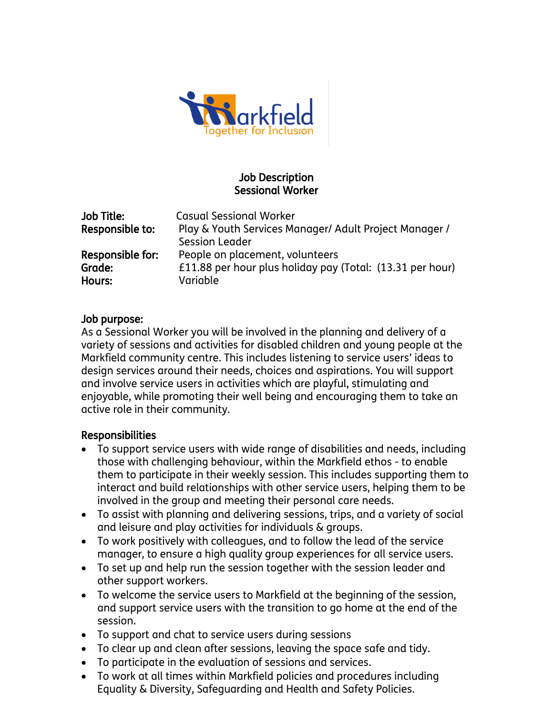

## Job Description Sessional Worker

| Job Title:       | <b>Casual Sessional Worker</b>                            |
|------------------|-----------------------------------------------------------|
| Responsible to:  | Play & Youth Services Manager/ Adult Project Manager /    |
|                  | <b>Session Leader</b>                                     |
| Responsible for: | People on placement, volunteers                           |
| Grade:           | £11.88 per hour plus holiday pay (Total: (13.31 per hour) |
| Hours:           | Variable                                                  |
|                  |                                                           |

#### Job purpose:

As a Sessional Worker you will be involved in the planning and delivery of a variety of sessions and activities for disabled children and young people at the Markfield community centre. This includes listening to service users' ideas to design services around their needs, choices and aspirations. You will support and involve service users in activities which are playful, stimulating and enjoyable, while promoting their well being and encouraging them to take an active role in their community.

#### Responsibilities

- To support service users with wide range of disabilities and needs, including those with challenging behaviour, within the Markfield ethos - to enable them to participate in their weekly session. This includes supporting them to interact and build relationships with other service users, helping them to be involved in the group and meeting their personal care needs.
- To assist with planning and delivering sessions, trips, and a variety of social and leisure and play activities for individuals & groups.
- To work positively with colleagues, and to follow the lead of the service manager, to ensure a high quality group experiences for all service users.
- To set up and help run the session together with the session leader and other support workers.
- To welcome the service users to Markfield at the beginning of the session, and support service users with the transition to go home at the end of the session.
- To support and chat to service users during sessions
- To clear up and clean after sessions, leaving the space safe and tidy.
- To participate in the evaluation of sessions and services.
- To work at all times within Markfield policies and procedures including Equality & Diversity, Safeguarding and Health and Safety Policies.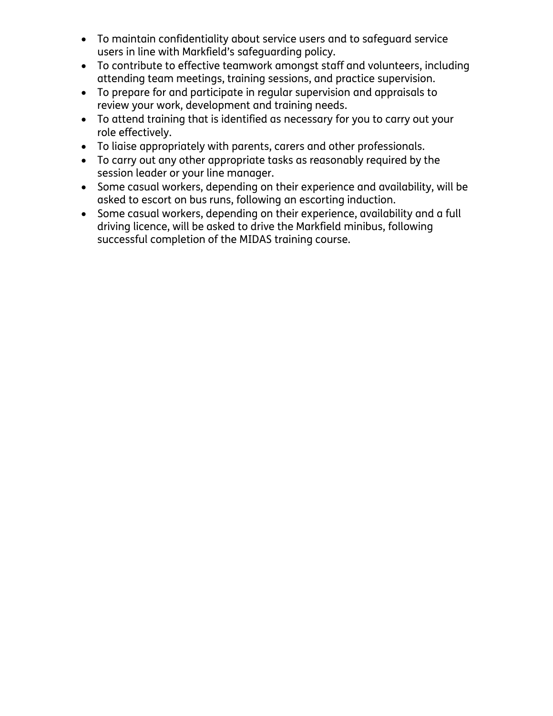- To maintain confidentiality about service users and to safeguard service users in line with Markfield's safeguarding policy.
- To contribute to effective teamwork amongst staff and volunteers, including attending team meetings, training sessions, and practice supervision.
- To prepare for and participate in regular supervision and appraisals to review your work, development and training needs.
- To attend training that is identified as necessary for you to carry out your role effectively.
- To liaise appropriately with parents, carers and other professionals.
- To carry out any other appropriate tasks as reasonably required by the session leader or your line manager.
- Some casual workers, depending on their experience and availability, will be asked to escort on bus runs, following an escorting induction.
- Some casual workers, depending on their experience, availability and a full driving licence, will be asked to drive the Markfield minibus, following successful completion of the MIDAS training course.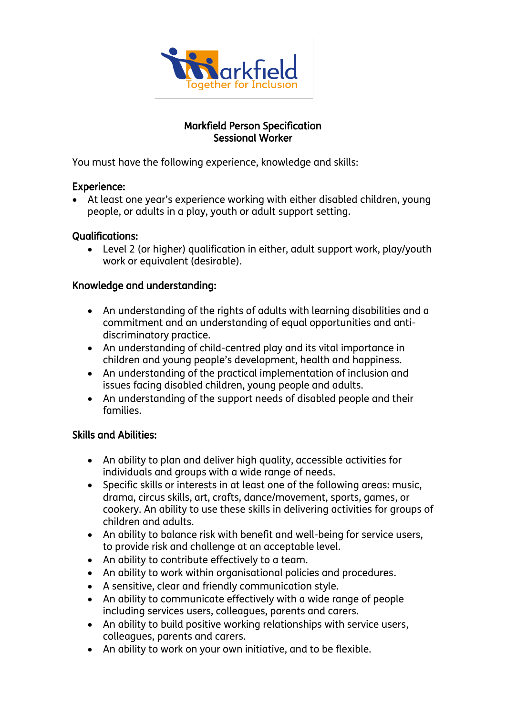

### Markfield Person Specification Sessional Worker

You must have the following experience, knowledge and skills:

## Experience:

 At least one year's experience working with either disabled children, young people, or adults in a play, youth or adult support setting.

## Qualifications:

 Level 2 (or higher) qualification in either, adult support work, play/youth work or equivalent (desirable).

# Knowledge and understanding:

- An understanding of the rights of adults with learning disabilities and a commitment and an understanding of equal opportunities and antidiscriminatory practice.
- An understanding of child-centred play and its vital importance in children and young people's development, health and happiness.
- An understanding of the practical implementation of inclusion and issues facing disabled children, young people and adults.
- An understanding of the support needs of disabled people and their families.

# Skills and Abilities:

- An ability to plan and deliver high quality, accessible activities for individuals and groups with a wide range of needs.
- Specific skills or interests in at least one of the following areas: music, drama, circus skills, art, crafts, dance/movement, sports, games, or cookery. An ability to use these skills in delivering activities for groups of children and adults.
- An ability to balance risk with benefit and well-being for service users, to provide risk and challenge at an acceptable level.
- An ability to contribute effectively to a team.
- An ability to work within organisational policies and procedures.
- A sensitive, clear and friendly communication style.
- An ability to communicate effectively with a wide range of people including services users, colleagues, parents and carers.
- An ability to build positive working relationships with service users, colleagues, parents and carers.
- An ability to work on your own initiative, and to be flexible.